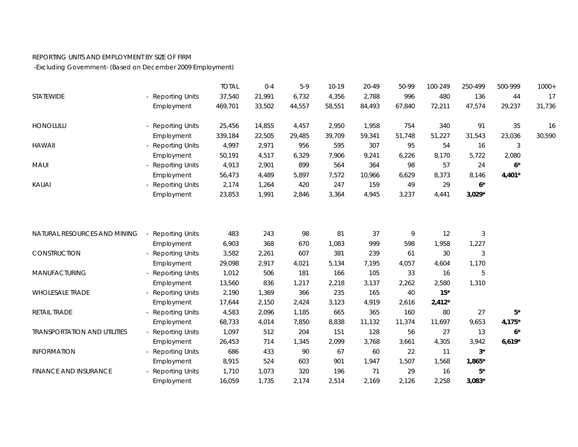## REPORTING UNITS AND EMPLOYMENT BY SIZE OF FIRM

-Excluding Government- (Based on December 2009 Employment)

|                                     |                        | <b>TOTAL</b> | $0 - 4$ | $5-9$  | $10-19$ | 20-49  | 50-99  | 100-249  | 250-499  | 500-999   | $1000+$ |
|-------------------------------------|------------------------|--------------|---------|--------|---------|--------|--------|----------|----------|-----------|---------|
| STATEWIDE                           | - Reporting Units      | 37,540       | 21,991  | 6,732  | 4,356   | 2,788  | 996    | 480      | 136      | 44        | 17      |
|                                     | Employment             | 469,701      | 33,502  | 44,557 | 58,551  | 84,493 | 67,840 | 72,211   | 47,574   | 29,237    | 31,736  |
| <b>HONOLULU</b>                     | - Reporting Units      | 25,456       | 14,855  | 4,457  | 2,950   | 1,958  | 754    | 340      | 91       | 35        | 16      |
|                                     | Employment             | 339,184      | 22,505  | 29,485 | 39,709  | 59,341 | 51,748 | 51,227   | 31,543   | 23,036    | 30,590  |
| <b>HAWAII</b>                       | - Reporting Units      | 4,997        | 2,971   | 956    | 595     | 307    | 95     | 54       | 16       | 3         |         |
|                                     | Employment             | 50,191       | 4,517   | 6,329  | 7,906   | 9,241  | 6,226  | 8,170    | 5,722    | 2,080     |         |
| MAUI                                | - Reporting Units      | 4,913        | 2,901   | 899    | 564     | 364    | 98     | 57       | 24       | $6*$      |         |
|                                     | Employment             | 56,473       | 4,489   | 5,897  | 7,572   | 10,966 | 6,629  | 8,373    | 8,146    | $4,401*$  |         |
| KAUAI                               | <b>Reporting Units</b> | 2,174        | 1,264   | 420    | 247     | 159    | 49     | 29       | $6*$     |           |         |
|                                     | Employment             | 23,853       | 1,991   | 2,846  | 3,364   | 4,945  | 3,237  | 4,441    | $3,029*$ |           |         |
|                                     |                        |              |         |        |         |        |        |          |          |           |         |
| NATURAL RESOURCES AND MINING        | <b>Reporting Units</b> | 483          | 243     | 98     | 81      | 37     | 9      | 12       | 3        |           |         |
|                                     | Employment             | 6,903        | 368     | 670    | 1,083   | 999    | 598    | 1,958    | 1,227    |           |         |
| CONSTRUCTION                        | <b>Reporting Units</b> | 3,582        | 2,261   | 607    | 381     | 239    | 61     | 30       | 3        |           |         |
|                                     | Employment             | 29,098       | 2,917   | 4,021  | 5,134   | 7,195  | 4,057  | 4,604    | 1,170    |           |         |
| MANUFACTURING                       | <b>Reporting Units</b> | 1,012        | 506     | 181    | 166     | 105    | 33     | 16       | 5        |           |         |
|                                     | Employment             | 13,560       | 836     | 1,217  | 2,218   | 3,137  | 2,262  | 2,580    | 1,310    |           |         |
| <b>WHOLESALE TRADE</b>              | <b>Reporting Units</b> | 2,190        | 1,369   | 366    | 235     | 165    | 40     | $15*$    |          |           |         |
|                                     | Employment             | 17,644       | 2,150   | 2,424  | 3,123   | 4,919  | 2,616  | $2,412*$ |          |           |         |
| RETAIL TRADE                        | - Reporting Units      | 4,583        | 2,096   | 1,185  | 665     | 365    | 160    | 80       | 27       | $5^\star$ |         |
|                                     | Employment             | 68,733       | 4,014   | 7,850  | 8,838   | 11,132 | 11,374 | 11,697   | 9,653    | $4,175*$  |         |
| <b>TRANSPORTATION AND UTILITIES</b> | - Reporting Units      | 1,097        | 512     | 204    | 151     | 128    | 56     | 27       | 13       | $6*$      |         |
|                                     | Employment             | 26,453       | 714     | 1,345  | 2,099   | 3,768  | 3,661  | 4,305    | 3,942    | $6,619*$  |         |
| <b>INFORMATION</b>                  | - Reporting Units      | 686          | 433     | 90     | 67      | 60     | 22     | 11       | $3^*$    |           |         |
|                                     | Employment             | 8,915        | 524     | 603    | 901     | 1,947  | 1,507  | 1,568    | 1,865*   |           |         |
| <b>FINANCE AND INSURANCE</b>        | <b>Reporting Units</b> | 1,710        | 1,073   | 320    | 196     | 71     | 29     | 16       | 5*       |           |         |
|                                     | Employment             | 16,059       | 1,735   | 2,174  | 2,514   | 2,169  | 2,126  | 2,258    | $3,083*$ |           |         |